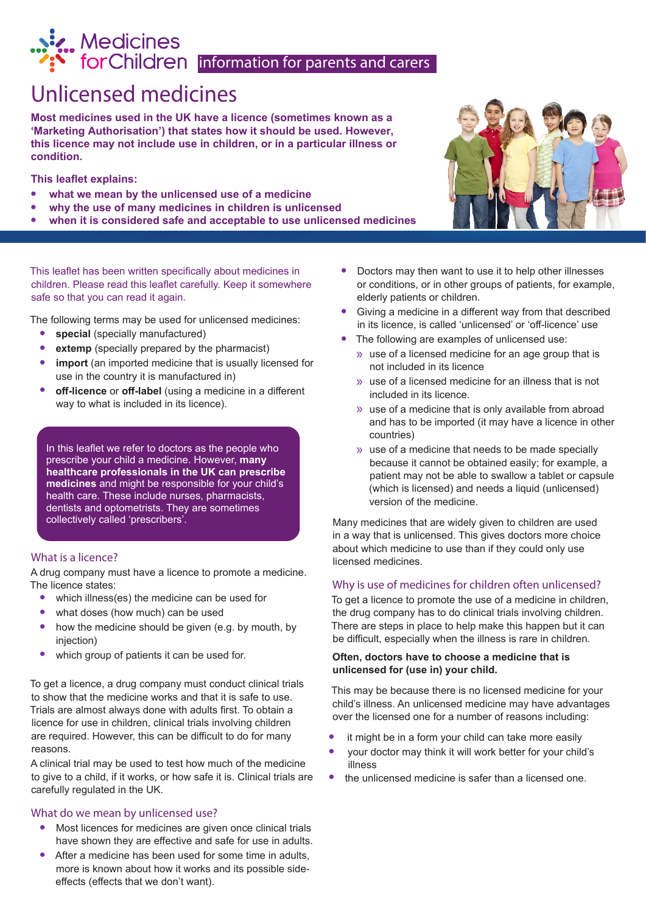# Medicines<br>
for Children information for parents and carers

## Unlicensed medicines

**Most medicines used in the UK have a licence (sometimes known as a 'Marketing Authorisation') that states how it should be used. However, this licence may not include use in children, or in a particular illness or condition.** 

**This leaflet explains:** 

- **• what we mean by the unlicensed use of a medicine**
- **• why the use of many medicines in children is unlicensed**
- **• when it is considered safe and acceptable to use unlicensed medicines**

This leaflet has been written specifically about medicines in children. Please read this leaflet carefully. Keep it somewhere safe so that you can read it again.

The following terms may be used for unlicensed medicines:

- **• special** (specially manufactured)
- **extemp** (specially prepared by the pharmacist)
- **import** (an imported medicine that is usually licensed for use in the country it is manufactured in)
- **• off-licence** or **off-label** (using a medicine in a different way to what is included in its licence).

In this leaflet we refer to doctors as the people who prescribe your child a medicine. However, **many healthcare professionals in the UK can prescribe medicines** and might be responsible for your child's health care. These include nurses, pharmacists, dentists and optometrists. They are sometimes collectively called 'prescribers'.

#### What is a licence?

A drug company must have a licence to promote a medicine. The licence states:

- **•** which illness(es) the medicine can be used for
- **•** what doses (how much) can be used
- **•** how the medicine should be given (e.g. by mouth, by injection)
- **•** which group of patients it can be used for.

To get a licence, a drug company must conduct clinical trials to show that the medicine works and that it is safe to use. Trials are almost always done with adults first. To obtain a licence for use in children, clinical trials involving children are required. However, this can be difficult to do for many reasons.

A clinical trial may be used to test how much of the medicine to give to a child, if it works, or how safe it is. Clinical trials are carefully regulated in the UK.

#### What do we mean by unlicensed use?

- **•** Most licences for medicines are given once clinical trials have shown they are effective and safe for use in adults.
- **•** After a medicine has been used for some time in adults, more is known about how it works and its possible sideeffects (effects that we don't want).



- **•** Doctors may then want to use it to help other illnesses or conditions, or in other groups of patients, for example, elderly patients or children.
- **•** Giving a medicine in a different way from that described in its licence, is called 'unlicensed' or 'off-licence' use
- **•** The following are examples of unlicensed use:
	- » use of a licensed medicine for an age group that is not included in its licence
	- » use of a licensed medicine for an illness that is not included in its licence.
	- » use of a medicine that is only available from abroad and has to be imported (it may have a licence in other countries)
	- » use of a medicine that needs to be made specially because it cannot be obtained easily; for example, a patient may not be able to swallow a tablet or capsule (which is licensed) and needs a liquid (unlicensed) version of the medicine.

Many medicines that are widely given to children are used in a way that is unlicensed. This gives doctors more choice about which medicine to use than if they could only use licensed medicines.

#### Why is use of medicines for children often unlicensed?

To get a licence to promote the use of a medicine in children, the drug company has to do clinical trials involving children. There are steps in place to help make this happen but it can be difficult, especially when the illness is rare in children.

#### **Often, doctors have to choose a medicine that is unlicensed for (use in) your child.**

This may be because there is no licensed medicine for your child's illness. An unlicensed medicine may have advantages over the licensed one for a number of reasons including:

- **•** it might be in a form your child can take more easily
- **•** your doctor may think it will work better for your child's illness
- **•** the unlicensed medicine is safer than a licensed one.